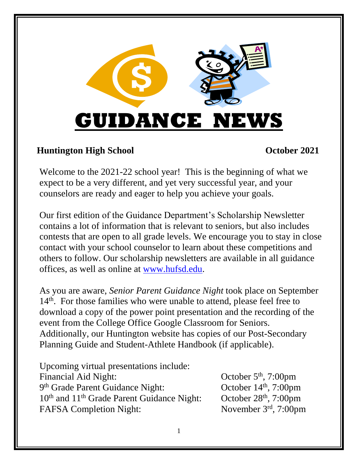

### **Huntington High School October 2021**

Welcome to the 2021-22 school year! This is the beginning of what we expect to be a very different, and yet very successful year, and your counselors are ready and eager to help you achieve your goals.

Our first edition of the Guidance Department's Scholarship Newsletter contains a lot of information that is relevant to seniors, but also includes contests that are open to all grade levels. We encourage you to stay in close contact with your school counselor to learn about these competitions and others to follow. Our scholarship newsletters are available in all guidance offices, as well as online at [www.hufsd.edu.](http://www.hufsd.edu/)

As you are aware, *Senior Parent Guidance Night* took place on September 14<sup>th</sup>. For those families who were unable to attend, please feel free to download a copy of the power point presentation and the recording of the event from the College Office Google Classroom for Seniors. Additionally, our Huntington website has copies of our Post-Secondary Planning Guide and Student-Athlete Handbook (if applicable).

Upcoming virtual presentations include: Financial Aid Night: 9 th Grade Parent Guidance Night: October 14  $10<sup>th</sup>$  and  $11<sup>th</sup>$  Grade Parent Guidance Night: FAFSA Completion Night:

October  $5<sup>th</sup>$ , 7:00pm October  $14<sup>th</sup>$ , 7:00pm October  $28<sup>th</sup>$ , 7:00pm November 3rd, 7:00pm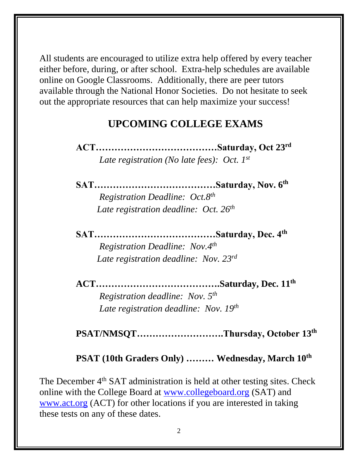All students are encouraged to utilize extra help offered by every teacher either before, during, or after school. Extra-help schedules are available online on Google Classrooms. Additionally, there are peer tutors available through the National Honor Societies. Do not hesitate to seek out the appropriate resources that can help maximize your success!

## **UPCOMING COLLEGE EXAMS**

 **ACT…………………………………Saturday, Oct 23 rd** *Late registration (No late fees): Oct. 1 st*

**SAT…………………………………Saturday, Nov. 6 th**

*Registration Deadline: Oct.8 th Late registration deadline: Oct. 26 th*

> **SAT…………………………………Saturday, Dec. 4th** *Registration Deadline: Nov.4th Late registration deadline: Nov. 23rd*

**ACT………………………………….Saturday, Dec. 11 th**

*Registration deadline: Nov. 5 th Late registration deadline: Nov. 19th*

**PSAT/NMSQT……………………….Thursday, October 13th**

#### **PSAT (10th Graders Only) ……… Wednesday, March 10 th**

The December 4<sup>th</sup> SAT administration is held at other testing sites. Check online with the College Board at [www.collegeboard.org](http://www.collegeboard.org/) (SAT) and [www.act.org](http://www.act.org/) (ACT) for other locations if you are interested in taking these tests on any of these dates.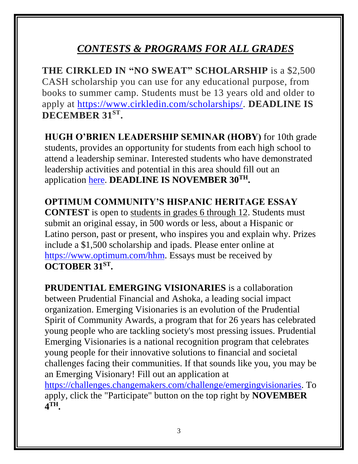# *CONTESTS & PROGRAMS FOR ALL GRADES*

**THE CIRKLED IN "NO SWEAT" SCHOLARSHIP** is a \$2,500 CASH scholarship you can use for any educational purpose, from books to summer camp. Students must be 13 years old and older to apply at [https://www.cirkledin.com/scholarships/.](https://www.cirkledin.com/scholarships/) **DEADLINE IS DECEMBER 31ST .**

**HUGH O'BRIEN LEADERSHIP SEMINAR (HOBY)** for 10th grade students, provides an opportunity for students from each high school to attend a leadership seminar. Interested students who have demonstrated leadership activities and potential in this area should fill out an application [here.](https://forms.gle/gxs77eWGHrZKhEMP6) **DEADLINE IS NOVEMBER 30TH.**

**OPTIMUM COMMUNITY'S HISPANIC HERITAGE ESSAY CONTEST** is open to students in grades 6 through 12. Students must submit an original essay, in 500 words or less, about a Hispanic or Latino person, past or present, who inspires you and explain why. Prizes include a \$1,500 scholarship and ipads. Please enter online at [https://www.optimum.com/hhm.](https://www.optimum.com/hhm) Essays must be received by **OCTOBER 31 ST .**

**PRUDENTIAL EMERGING VISIONARIES** is a collaboration between Prudential Financial and Ashoka, a leading social impact organization. Emerging Visionaries is an evolution of the Prudential Spirit of Community Awards, a program that for 26 years has celebrated young people who are tackling society's most pressing issues. Prudential Emerging Visionaries is a national recognition program that celebrates young people for their innovative solutions to financial and societal challenges facing their communities. If that sounds like you, you may be an Emerging Visionary! Fill out an application at

[https://challenges.changemakers.com/challenge/emergingvisionaries.](https://challenges.changemakers.com/challenge/emergingvisionaries) To apply, click the "Participate" button on the top right by **NOVEMBER 4 TH.**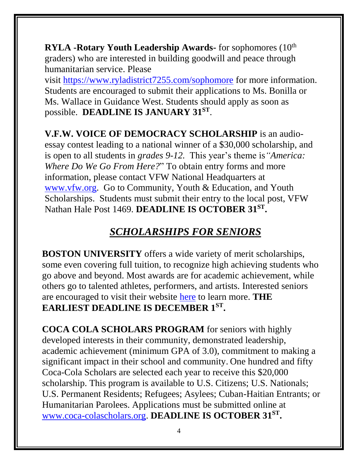**RYLA -Rotary Youth Leadership Awards-** for sophomores (10<sup>th</sup>) graders) who are interested in building goodwill and peace through humanitarian service. Please

visit <https://www.ryladistrict7255.com/sophomore> for more information. Students are encouraged to submit their applications to Ms. Bonilla or Ms. Wallace in Guidance West. Students should apply as soon as possible. **DEADLINE IS JANUARY 31ST** .

**V.F.W. VOICE OF DEMOCRACY SCHOLARSHIP** is an audioessay contest leading to a national winner of a \$30,000 scholarship, and is open to all students in *grades 9-12.* This year's theme is*"America: Where Do We Go From Here?*" To obtain entry forms and more information, please contact VFW National Headquarters at [www.vfw.org.](http://www.vfw.org/) Go to Community, Youth & Education, and Youth Scholarships. Students must submit their entry to the local post, VFW Nathan Hale Post 1469. **DEADLINE IS OCTOBER 31ST .**

## *SCHOLARSHIPS FOR SENIORS*

**BOSTON UNIVERSITY** offers a wide variety of merit scholarships, some even covering full tuition, to recognize high achieving students who go above and beyond. Most awards are for academic achievement, while others go to talented athletes, performers, and artists. Interested seniors are encouraged to visit their website [here](https://www.bu.edu/admissions/tuition-aid/scholarships-financial-aid/first-year-merit/?j=166633&sfmc_sub=6082702&l=205_HTML&u=4840789&mid=514005790&jb=6005) to learn more. **THE EARLIEST DEADLINE IS DECEMBER 1ST .**

**COCA COLA SCHOLARS PROGRAM** for seniors with highly developed interests in their community, demonstrated leadership, academic achievement (minimum GPA of 3.0), commitment to making a significant impact in their school and community. One hundred and fifty Coca-Cola Scholars are selected each year to receive this \$20,000 scholarship. This program is available to U.S. Citizens; U.S. Nationals; U.S. Permanent Residents; Refugees; Asylees; Cuban-Haitian Entrants; or Humanitarian Parolees. Applications must be submitted online at [www.coca-colascholars.org.](http://www.coca-colascholars.org/) **DEADLINE IS OCTOBER 31 ST .**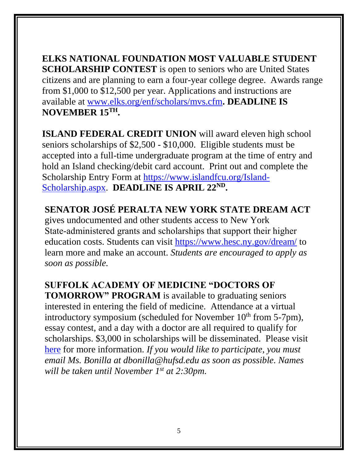**ELKS NATIONAL FOUNDATION MOST VALUABLE STUDENT SCHOLARSHIP CONTEST** is open to seniors who are United States citizens and are planning to earn a four-year college degree. Awards range from \$1,000 to \$12,500 per year. Applications and instructions are available at [www.elks.org/enf/scholars/mvs.cfm](http://www.elks.org/enf/scholars/mvs.cfm)**. DEADLINE IS NOVEMBER 15TH.**

**ISLAND FEDERAL CREDIT UNION** will award eleven high school seniors scholarships of \$2,500 - \$10,000. Eligible students must be accepted into a full-time undergraduate program at the time of entry and hold an Island checking/debit card account. Print out and complete the Scholarship Entry Form at [https://www.islandfcu.org/Island-](https://www.islandfcu.org/Island-Scholarship.aspx)[Scholarship.aspx.](https://www.islandfcu.org/Island-Scholarship.aspx) **DEADLINE IS APRIL 22ND .**

**SENATOR JOSÉ PERALTA NEW YORK STATE DREAM ACT** gives undocumented and other students access to New York State‐administered grants and scholarships that support their higher education costs. Students can visit<https://www.hesc.ny.gov/dream/> to learn more and make an account. *Students are encouraged to apply as soon as possible.*

**SUFFOLK ACADEMY OF MEDICINE "DOCTORS OF** 

**TOMORROW" PROGRAM** is available to graduating seniors interested in entering the field of medicine. Attendance at a virtual introductory symposium (scheduled for November 10<sup>th</sup> from 5-7pm), essay contest, and a day with a doctor are all required to qualify for scholarships. \$3,000 in scholarships will be disseminated. Please visit [here](https://scms-sam.org/news/h-s-senior-are-you-a-doctor-of-tomorrow-2021-2022/) for more information. *If you would like to participate, you must email Ms. Bonilla at dbonilla@hufsd.edu as soon as possible. Names*  will be taken until November 1<sup>st</sup> at 2:30pm.